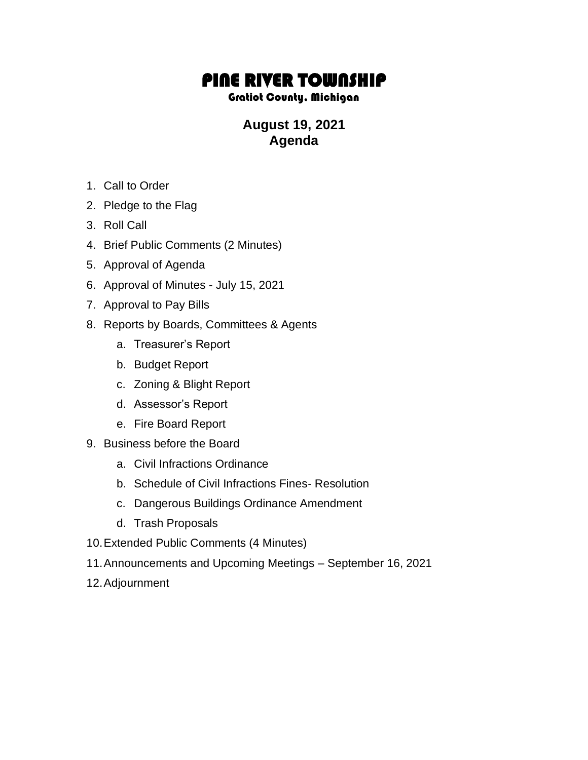## PINE RIVER TOWNSHIP

## Gratiot County, Michigan

## **August 19, 2021 Agenda**

- 1. Call to Order
- 2. Pledge to the Flag
- 3. Roll Call
- 4. Brief Public Comments (2 Minutes)
- 5. Approval of Agenda
- 6. Approval of Minutes July 15, 2021
- 7. Approval to Pay Bills
- 8. Reports by Boards, Committees & Agents
	- a. Treasurer's Report
	- b. Budget Report
	- c. Zoning & Blight Report
	- d. Assessor's Report
	- e. Fire Board Report
- 9. Business before the Board
	- a. Civil Infractions Ordinance
	- b. Schedule of Civil Infractions Fines- Resolution
	- c. Dangerous Buildings Ordinance Amendment
	- d. Trash Proposals
- 10.Extended Public Comments (4 Minutes)
- 11.Announcements and Upcoming Meetings September 16, 2021
- 12.Adjournment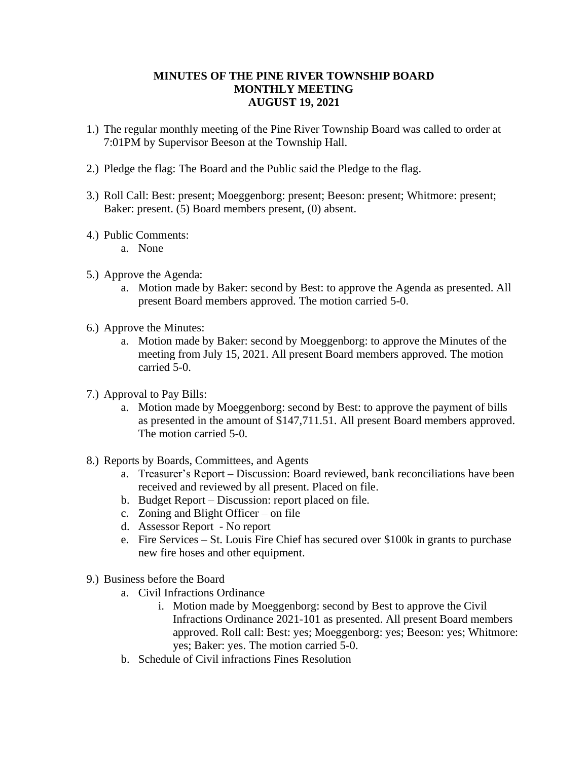## **MINUTES OF THE PINE RIVER TOWNSHIP BOARD MONTHLY MEETING AUGUST 19, 2021**

- 1.) The regular monthly meeting of the Pine River Township Board was called to order at 7:01PM by Supervisor Beeson at the Township Hall.
- 2.) Pledge the flag: The Board and the Public said the Pledge to the flag.
- 3.) Roll Call: Best: present; Moeggenborg: present; Beeson: present; Whitmore: present; Baker: present. (5) Board members present, (0) absent.
- 4.) Public Comments:
	- a. None
- 5.) Approve the Agenda:
	- a. Motion made by Baker: second by Best: to approve the Agenda as presented. All present Board members approved. The motion carried 5-0.
- 6.) Approve the Minutes:
	- a. Motion made by Baker: second by Moeggenborg: to approve the Minutes of the meeting from July 15, 2021. All present Board members approved. The motion carried 5-0.
- 7.) Approval to Pay Bills:
	- a. Motion made by Moeggenborg: second by Best: to approve the payment of bills as presented in the amount of \$147,711.51. All present Board members approved. The motion carried 5-0.
- 8.) Reports by Boards, Committees, and Agents
	- a. Treasurer's Report Discussion: Board reviewed, bank reconciliations have been received and reviewed by all present. Placed on file.
	- b. Budget Report Discussion: report placed on file.
	- c. Zoning and Blight Officer on file
	- d. Assessor Report No report
	- e. Fire Services St. Louis Fire Chief has secured over \$100k in grants to purchase new fire hoses and other equipment.
- 9.) Business before the Board
	- a. Civil Infractions Ordinance
		- i. Motion made by Moeggenborg: second by Best to approve the Civil Infractions Ordinance 2021-101 as presented. All present Board members approved. Roll call: Best: yes; Moeggenborg: yes; Beeson: yes; Whitmore: yes; Baker: yes. The motion carried 5-0.
	- b. Schedule of Civil infractions Fines Resolution